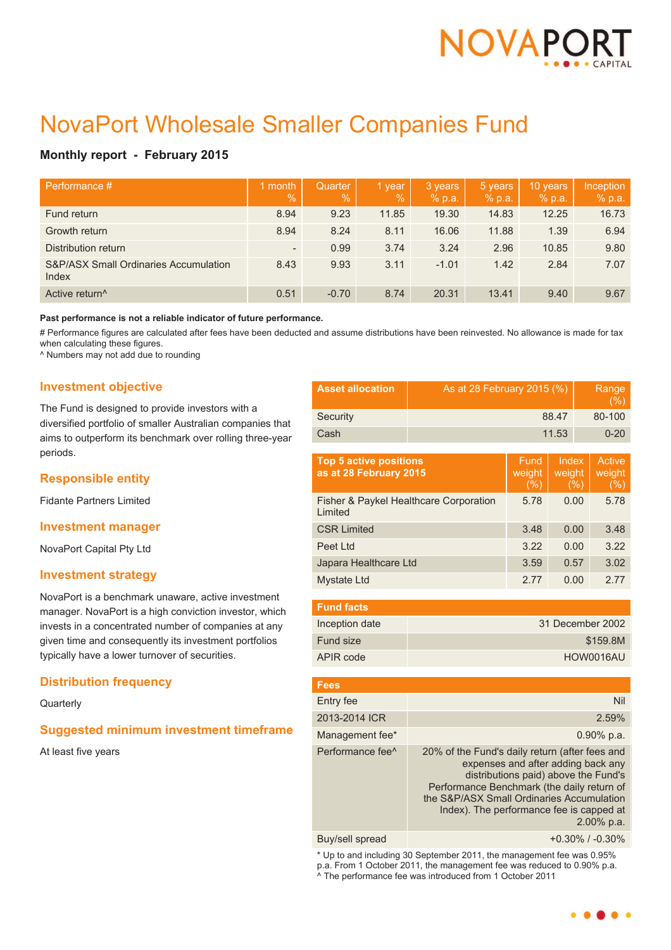

# NovaPort Wholesale Smaller Companies Fund

# **Monthly report - February 2015**

| Performance #                                             | month<br>$\sqrt{2}$      | Quarter<br>$\%$ | 1 year<br>$\%$ | 3 years<br>% p.a. | 5 years<br>% p.a. | 10 years<br>% p.a. | Inception<br>% p.a. |
|-----------------------------------------------------------|--------------------------|-----------------|----------------|-------------------|-------------------|--------------------|---------------------|
| Fund return                                               | 8.94                     | 9.23            | 11.85          | 19.30             | 14.83             | 12.25              | 16.73               |
| Growth return                                             | 8.94                     | 8.24            | 8.11           | 16.06             | 11.88             | 1.39               | 6.94                |
| Distribution return                                       | $\overline{\phantom{a}}$ | 0.99            | 3.74           | 3.24              | 2.96              | 10.85              | 9.80                |
| <b>S&amp;P/ASX Small Ordinaries Accumulation</b><br>Index | 8.43                     | 9.93            | 3.11           | $-1.01$           | 1.42              | 2.84               | 7.07                |
| Active return <sup>^</sup>                                | 0.51                     | $-0.70$         | 8.74           | 20.31             | 13.41             | 9.40               | 9.67                |

#### **Past performance is not a reliable indicator of future performance.**

# Performance figures are calculated after fees have been deducted and assume distributions have been reinvested. No allowance is made for tax when calculating these figures.

^ Numbers may not add due to rounding

## **Investment objective**

The Fund is designed to provide investors with a diversified portfolio of smaller Australian companies that aims to outperform its benchmark over rolling three-year periods.

# **Responsible entity**

Fidante Partners Limited

## **Investment manager**

NovaPort Capital Pty Ltd

## **Investment strategy**

NovaPort is a benchmark unaware, active investment manager. NovaPort is a high conviction investor, which invests in a concentrated number of companies at any given time and consequently its investment portfolios typically have a lower turnover of securities.

# **Distribution frequency**

**Quarterly** 

# **Suggested minimum investment timeframe**

At least five years

| <b>Asset allocation</b> | As at 28 February 2015 (%) | Range<br>(% ) |
|-------------------------|----------------------------|---------------|
| Security                | 88.47                      | 80-100        |
| Cash                    | 11.53                      | $0 - 20$      |

| <b>Top 5 active positions</b><br>as at 28 February 2015 | Fund<br>weight<br>(%) | Index<br>weight<br>(%) | Active<br>weight<br>(% ) |
|---------------------------------------------------------|-----------------------|------------------------|--------------------------|
| Fisher & Paykel Healthcare Corporation<br>Limited       | 5.78                  | 0.00                   | 5.78                     |
| <b>CSR Limited</b>                                      | 3.48                  | 0.00                   | 3.48                     |
| Peet Ltd                                                | 3.22                  | 0.00                   | 3.22                     |
| Japara Healthcare Ltd                                   | 3.59                  | 0.57                   | 3.02                     |
| Mystate Ltd                                             | 2.77                  | 0.00                   | 2.77                     |

| <b>Fund facts</b> |                  |
|-------------------|------------------|
| Inception date    | 31 December 2002 |
| Fund size         | \$159.8M         |
| APIR code         | HOW0016AU        |

| <b>Fees</b>                  |                                                                                                                                                                                                                                                                                      |
|------------------------------|--------------------------------------------------------------------------------------------------------------------------------------------------------------------------------------------------------------------------------------------------------------------------------------|
| Entry fee                    | <b>Nil</b>                                                                                                                                                                                                                                                                           |
| 2013-2014 ICR                | 2.59%                                                                                                                                                                                                                                                                                |
| Management fee*              | $0.90\%$ p.a.                                                                                                                                                                                                                                                                        |
| Performance fee <sup>^</sup> | 20% of the Fund's daily return (after fees and<br>expenses and after adding back any<br>distributions paid) above the Fund's<br>Performance Benchmark (the daily return of<br>the S&P/ASX Small Ordinaries Accumulation<br>Index). The performance fee is capped at<br>$2.00\%$ p.a. |
|                              |                                                                                                                                                                                                                                                                                      |

Buy/sell spread +0.30% / -0.30%

\* Up to and including 30 September 2011, the management fee was 0.95% p.a. From 1 October 2011, the management fee was reduced to 0.90% p.a. ^ The performance fee was introduced from 1 October 2011

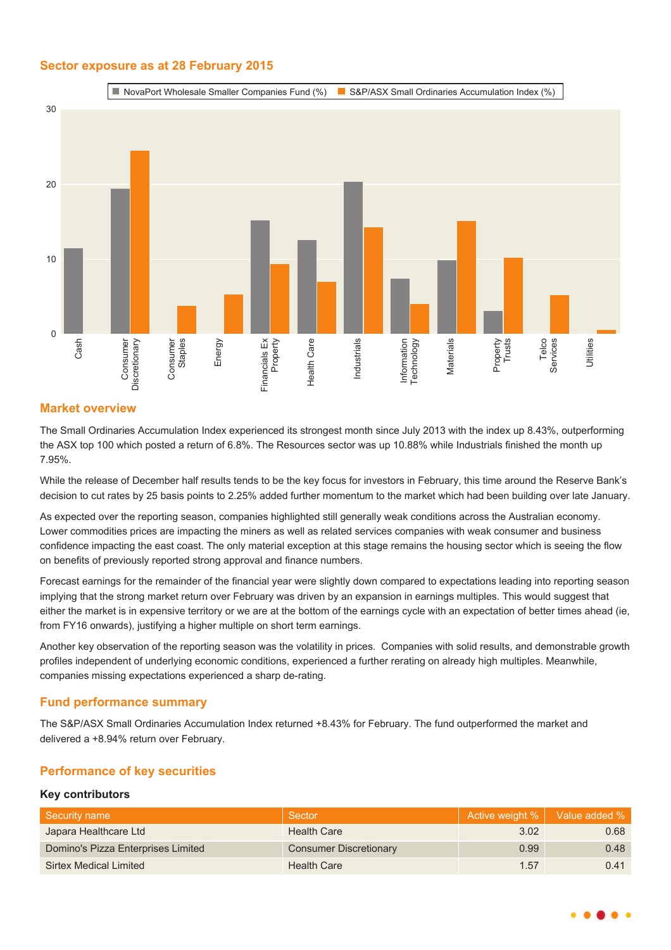# **Sector exposure as at 28 February 2015**



# **Market overview**

The Small Ordinaries Accumulation Index experienced its strongest month since July 2013 with the index up 8.43%, outperforming the ASX top 100 which posted a return of 6.8%. The Resources sector was up 10.88% while Industrials finished the month up 7.95%.

While the release of December half results tends to be the key focus for investors in February, this time around the Reserve Bank's decision to cut rates by 25 basis points to 2.25% added further momentum to the market which had been building over late January.

As expected over the reporting season, companies highlighted still generally weak conditions across the Australian economy. Lower commodities prices are impacting the miners as well as related services companies with weak consumer and business confidence impacting the east coast. The only material exception at this stage remains the housing sector which is seeing the flow on benefits of previously reported strong approval and finance numbers.

Forecast earnings for the remainder of the financial year were slightly down compared to expectations leading into reporting season implying that the strong market return over February was driven by an expansion in earnings multiples. This would suggest that either the market is in expensive territory or we are at the bottom of the earnings cycle with an expectation of better times ahead (ie, from FY16 onwards), justifying a higher multiple on short term earnings.

Another key observation of the reporting season was the volatility in prices. Companies with solid results, and demonstrable growth profiles independent of underlying economic conditions, experienced a further rerating on already high multiples. Meanwhile, companies missing expectations experienced a sharp de-rating.

# **Fund performance summary**

The S&P/ASX Small Ordinaries Accumulation Index returned +8.43% for February. The fund outperformed the market and delivered a +8.94% return over February.

# **Performance of key securities**

## **Key contributors**

| ∣ Security name                    | Sector                        |      | Active weight %   Value added % |
|------------------------------------|-------------------------------|------|---------------------------------|
| Japara Healthcare Ltd              | <b>Health Care</b>            | 3.02 | 0.68                            |
| Domino's Pizza Enterprises Limited | <b>Consumer Discretionary</b> | 0.99 | 0.48                            |
| Sirtex Medical Limited             | <b>Health Care</b>            | 1.57 | 0.41                            |